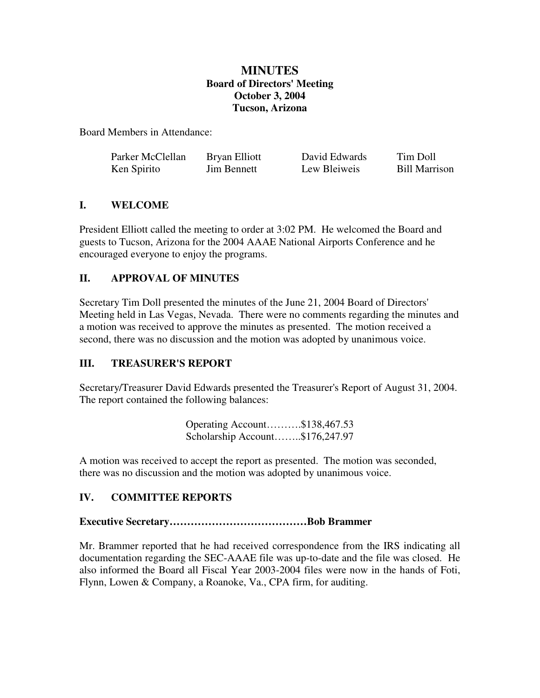# **MINUTES Board of Directors' Meeting October 3, 2004 Tucson, Arizona**

Board Members in Attendance:

| Parker McClellan | Bryan Elliott      | David Edwards | Tim Doll      |
|------------------|--------------------|---------------|---------------|
| Ken Spirito      | <b>Jim Bennett</b> | Lew Bleiweis  | Bill Marrison |

## **I. WELCOME**

President Elliott called the meeting to order at 3:02 PM. He welcomed the Board and guests to Tucson, Arizona for the 2004 AAAE National Airports Conference and he encouraged everyone to enjoy the programs.

# **II. APPROVAL OF MINUTES**

Secretary Tim Doll presented the minutes of the June 21, 2004 Board of Directors' Meeting held in Las Vegas, Nevada. There were no comments regarding the minutes and a motion was received to approve the minutes as presented. The motion received a second, there was no discussion and the motion was adopted by unanimous voice.

# **III. TREASURER'S REPORT**

Secretary/Treasurer David Edwards presented the Treasurer's Report of August 31, 2004. The report contained the following balances:

| Operating Account\$138,467.53   |  |
|---------------------------------|--|
| Scholarship Account\$176,247.97 |  |

A motion was received to accept the report as presented. The motion was seconded, there was no discussion and the motion was adopted by unanimous voice.

## **IV. COMMITTEE REPORTS**

## **Executive Secretary…………………………………Bob Brammer**

Mr. Brammer reported that he had received correspondence from the IRS indicating all documentation regarding the SEC-AAAE file was up-to-date and the file was closed. He also informed the Board all Fiscal Year 2003-2004 files were now in the hands of Foti, Flynn, Lowen & Company, a Roanoke, Va., CPA firm, for auditing.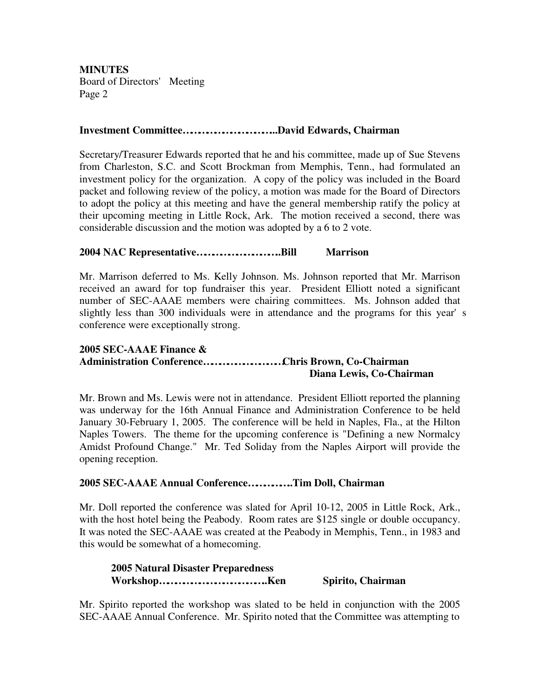### **Investment Committee……………………………...David Edwards, Chairman**

Secretary/Treasurer Edwards reported that he and his committee, made up of Sue Stevens from Charleston, S.C. and Scott Brockman from Memphis, Tenn., had formulated an investment policy for the organization. A copy of the policy was included in the Board packet and following review of the policy, a motion was made for the Board of Directors to adopt the policy at this meeting and have the general membership ratify the policy at their upcoming meeting in Little Rock, Ark. The motion received a second, there was considerable discussion and the motion was adopted by a 6 to 2 vote.

### **2004 NAC Representative…………………………..Bill Marrison**

Mr. Marrison deferred to Ms. Kelly Johnson. Ms. Johnson reported that Mr. Marrison received an award for top fundraiser this year. President Elliott noted a significant number of SEC-AAAE members were chairing committees. Ms. Johnson added that slightly less than 300 individuals were in attendance and the programs for this year's conference were exceptionally strong.

#### **2005 SEC-AAAE Finance & Administration Conference…………………………Chris Brown, Co-Chairman Diana Lewis, Co-Chairman**

Mr. Brown and Ms. Lewis were not in attendance. President Elliott reported the planning was underway for the 16th Annual Finance and Administration Conference to be held January 30-February 1, 2005. The conference will be held in Naples, Fla., at the Hilton Naples Towers. The theme for the upcoming conference is "Defining a new Normalcy Amidst Profound Change." Mr. Ted Soliday from the Naples Airport will provide the opening reception.

### **2005 SEC-AAAE Annual Conference……………..Tim Doll, Chairman**

Mr. Doll reported the conference was slated for April 10-12, 2005 in Little Rock, Ark., with the host hotel being the Peabody. Room rates are \$125 single or double occupancy. It was noted the SEC-AAAE was created at the Peabody in Memphis, Tenn., in 1983 and this would be somewhat of a homecoming.

# **2005 Natural Disaster Preparedness Workshop…………………………………..Ken Spirito, Chairman**

Mr. Spirito reported the workshop was slated to be held in conjunction with the 2005 SEC-AAAE Annual Conference. Mr. Spirito noted that the Committee was attempting to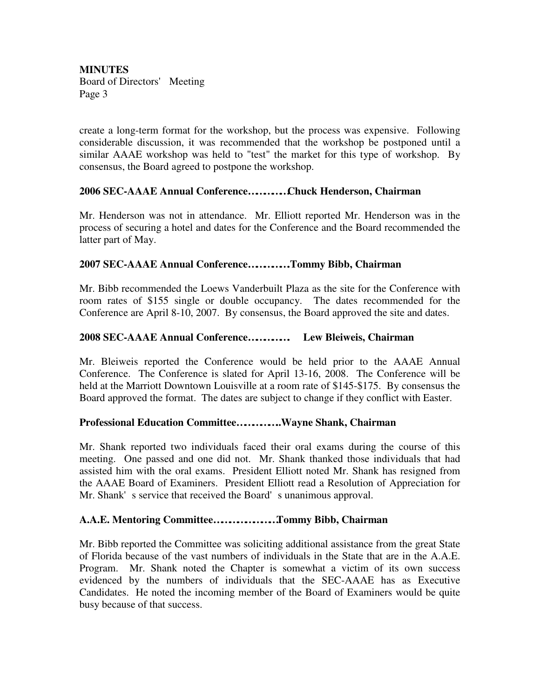create a long-term format for the workshop, but the process was expensive. Following considerable discussion, it was recommended that the workshop be postponed until a similar AAAE workshop was held to "test" the market for this type of workshop. By consensus, the Board agreed to postpone the workshop.

## **2006 SEC-AAAE Annual Conference……………Chuck Henderson, Chairman**

Mr. Henderson was not in attendance. Mr. Elliott reported Mr. Henderson was in the process of securing a hotel and dates for the Conference and the Board recommended the latter part of May.

## **2007 SEC-AAAE Annual Conference…………….Tommy Bibb, Chairman**

Mr. Bibb recommended the Loews Vanderbuilt Plaza as the site for the Conference with room rates of \$155 single or double occupancy. The dates recommended for the Conference are April 8-10, 2007. By consensus, the Board approved the site and dates.

## **2008 SEC-AAAE Annual Conference……………. Lew Bleiweis, Chairman**

Mr. Bleiweis reported the Conference would be held prior to the AAAE Annual Conference. The Conference is slated for April 13-16, 2008. The Conference will be held at the Marriott Downtown Louisville at a room rate of \$145-\$175. By consensus the Board approved the format. The dates are subject to change if they conflict with Easter.

### **Professional Education Committee……………..Wayne Shank, Chairman**

Mr. Shank reported two individuals faced their oral exams during the course of this meeting. One passed and one did not. Mr. Shank thanked those individuals that had assisted him with the oral exams. President Elliott noted Mr. Shank has resigned from the AAAE Board of Examiners. President Elliott read a Resolution of Appreciation for Mr. Shank's service that received the Board's unanimous approval.

### **A.A.E. Mentoring Committee……………………Tommy Bibb, Chairman**

Mr. Bibb reported the Committee was soliciting additional assistance from the great State of Florida because of the vast numbers of individuals in the State that are in the A.A.E. Program. Mr. Shank noted the Chapter is somewhat a victim of its own success evidenced by the numbers of individuals that the SEC-AAAE has as Executive Candidates. He noted the incoming member of the Board of Examiners would be quite busy because of that success.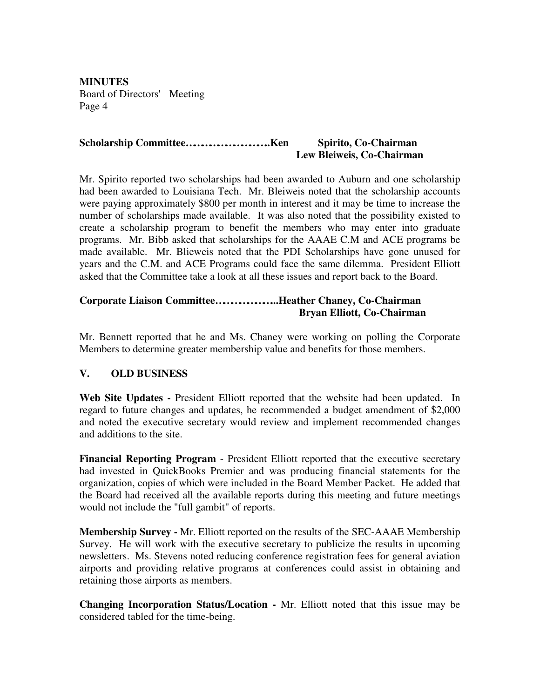## **Scholarship Committee…………………………..Ken Spirito, Co-Chairman Lew Bleiweis, Co-Chairman**

Mr. Spirito reported two scholarships had been awarded to Auburn and one scholarship had been awarded to Louisiana Tech. Mr. Bleiweis noted that the scholarship accounts were paying approximately \$800 per month in interest and it may be time to increase the number of scholarships made available. It was also noted that the possibility existed to create a scholarship program to benefit the members who may enter into graduate programs. Mr. Bibb asked that scholarships for the AAAE C.M and ACE programs be made available. Mr. Blieweis noted that the PDI Scholarships have gone unused for years and the C.M. and ACE Programs could face the same dilemma. President Elliott asked that the Committee take a look at all these issues and report back to the Board.

## **Corporate Liaison Committee…………………...Heather Chaney, Co-Chairman Bryan Elliott, Co-Chairman**

Mr. Bennett reported that he and Ms. Chaney were working on polling the Corporate Members to determine greater membership value and benefits for those members.

## **V. OLD BUSINESS**

**Web Site Updates -** President Elliott reported that the website had been updated. In regard to future changes and updates, he recommended a budget amendment of \$2,000 and noted the executive secretary would review and implement recommended changes and additions to the site.

**Financial Reporting Program** - President Elliott reported that the executive secretary had invested in QuickBooks Premier and was producing financial statements for the organization, copies of which were included in the Board Member Packet. He added that the Board had received all the available reports during this meeting and future meetings would not include the "full gambit" of reports.

**Membership Survey -** Mr. Elliott reported on the results of the SEC-AAAE Membership Survey. He will work with the executive secretary to publicize the results in upcoming newsletters. Ms. Stevens noted reducing conference registration fees for general aviation airports and providing relative programs at conferences could assist in obtaining and retaining those airports as members.

**Changing Incorporation Status/Location -** Mr. Elliott noted that this issue may be considered tabled for the time-being.